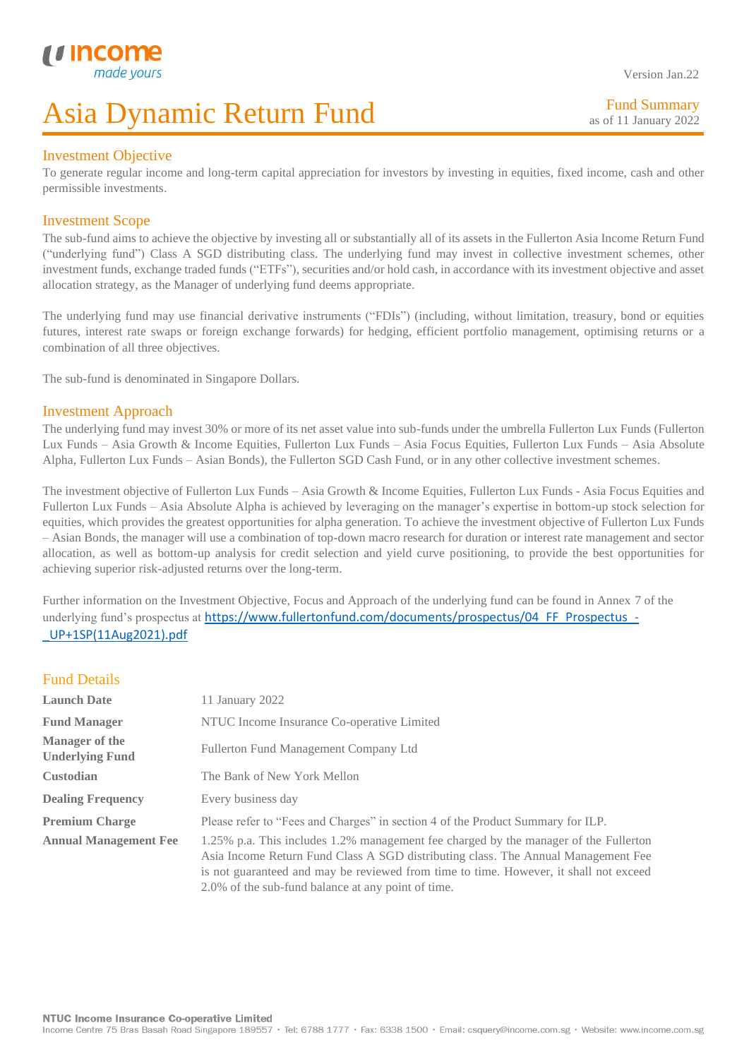Fund Summary as of 11 January 2022

### Investment Objective

I

To generate regular income and long-term capital appreciation for investors by investing in equities, fixed income, cash and other permissible investments.

### Investment Scope

The sub-fund aims to achieve the objective by investing all or substantially all of its assets in the Fullerton Asia Income Return Fund ("underlying fund") Class A SGD distributing class. The underlying fund may invest in collective investment schemes, other investment funds, exchange traded funds ("ETFs"), securities and/or hold cash, in accordance with its investment objective and asset allocation strategy, as the Manager of underlying fund deems appropriate.

The underlying fund may use financial derivative instruments ("FDIs") (including, without limitation, treasury, bond or equities futures, interest rate swaps or foreign exchange forwards) for hedging, efficient portfolio management, optimising returns or a combination of all three objectives.

The sub-fund is denominated in Singapore Dollars.

### Investment Approach

The underlying fund may invest 30% or more of its net asset value into sub-funds under the umbrella Fullerton Lux Funds (Fullerton Lux Funds – Asia Growth & Income Equities, Fullerton Lux Funds – Asia Focus Equities, Fullerton Lux Funds – Asia Absolute Alpha, Fullerton Lux Funds – Asian Bonds), the Fullerton SGD Cash Fund, or in any other collective investment schemes.

The investment objective of Fullerton Lux Funds – Asia Growth & Income Equities, Fullerton Lux Funds - Asia Focus Equities and Fullerton Lux Funds – Asia Absolute Alpha is achieved by leveraging on the manager's expertise in bottom-up stock selection for equities, which provides the greatest opportunities for alpha generation. To achieve the investment objective of Fullerton Lux Funds – Asian Bonds, the manager will use a combination of top-down macro research for duration or interest rate management and sector allocation, as well as bottom-up analysis for credit selection and yield curve positioning, to provide the best opportunities for achieving superior risk-adjusted returns over the long-term.

Further information on the Investment Objective, Focus and Approach of the underlying fund can be found in Annex 7 of the underlying fund's prospectus at [https://www.fullertonfund.com/documents/prospectus/04\\_FF\\_Prospectus\\_-](https://www.fullertonfund.com/documents/prospectus/04_FF_Prospectus_-_UP+1SP(11Aug2021).pdf) [\\_UP+1SP\(11Aug2021\).pdf](https://www.fullertonfund.com/documents/prospectus/04_FF_Prospectus_-_UP+1SP(11Aug2021).pdf)

### Fund Details

| <b>Launch Date</b>                              | 11 January 2022                                                                                                                                                                                                                                                                                                          |  |  |
|-------------------------------------------------|--------------------------------------------------------------------------------------------------------------------------------------------------------------------------------------------------------------------------------------------------------------------------------------------------------------------------|--|--|
| <b>Fund Manager</b>                             | NTUC Income Insurance Co-operative Limited                                                                                                                                                                                                                                                                               |  |  |
| <b>Manager of the</b><br><b>Underlying Fund</b> | Fullerton Fund Management Company Ltd                                                                                                                                                                                                                                                                                    |  |  |
| <b>Custodian</b>                                | The Bank of New York Mellon                                                                                                                                                                                                                                                                                              |  |  |
| <b>Dealing Frequency</b>                        | Every business day                                                                                                                                                                                                                                                                                                       |  |  |
| <b>Premium Charge</b>                           | Please refer to "Fees and Charges" in section 4 of the Product Summary for ILP.                                                                                                                                                                                                                                          |  |  |
| <b>Annual Management Fee</b>                    | 1.25% p.a. This includes 1.2% management fee charged by the manager of the Fullerton<br>Asia Income Return Fund Class A SGD distributing class. The Annual Management Fee<br>is not guaranteed and may be reviewed from time to time. However, it shall not exceed<br>2.0% of the sub-fund balance at any point of time. |  |  |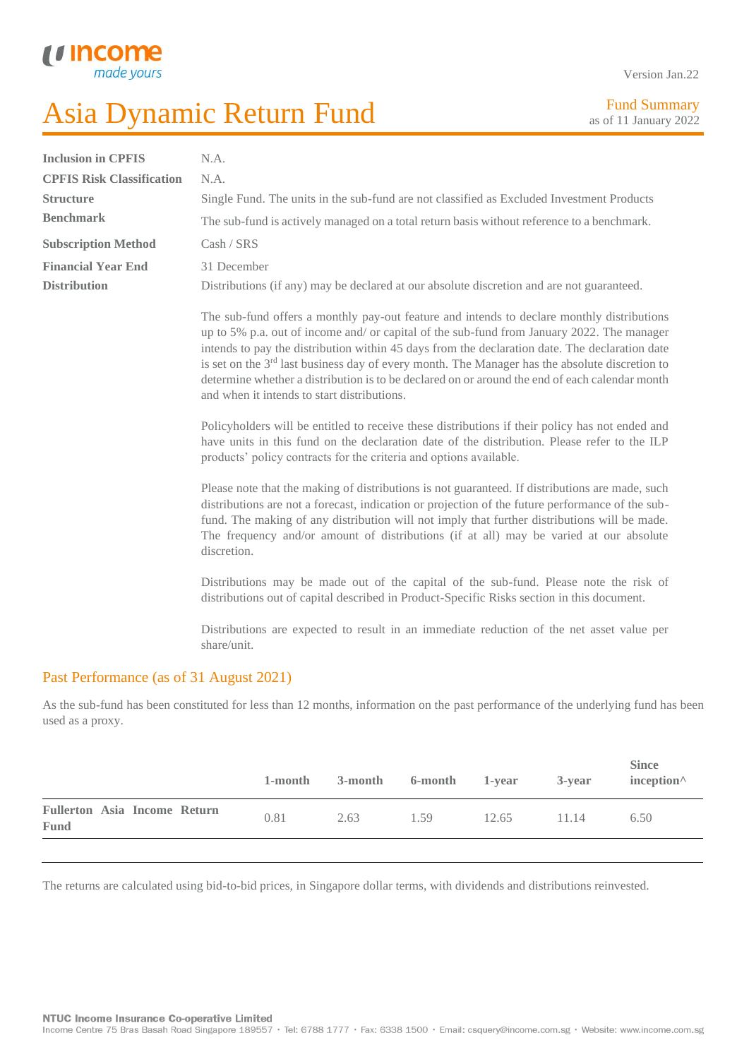I

U Incon

made

| Version Jan.22 |  |
|----------------|--|
|                |  |

Fund Summary as of 11 January 2022

| <b>Inclusion in CPFIS</b>        | N.A.                                                                                                                                                                                                                                                                                                                                                                                                                                                                                                                                               |
|----------------------------------|----------------------------------------------------------------------------------------------------------------------------------------------------------------------------------------------------------------------------------------------------------------------------------------------------------------------------------------------------------------------------------------------------------------------------------------------------------------------------------------------------------------------------------------------------|
| <b>CPFIS Risk Classification</b> | N.A.                                                                                                                                                                                                                                                                                                                                                                                                                                                                                                                                               |
| <b>Structure</b>                 | Single Fund. The units in the sub-fund are not classified as Excluded Investment Products                                                                                                                                                                                                                                                                                                                                                                                                                                                          |
| <b>Benchmark</b>                 | The sub-fund is actively managed on a total return basis without reference to a benchmark.                                                                                                                                                                                                                                                                                                                                                                                                                                                         |
| <b>Subscription Method</b>       | Cash / SRS                                                                                                                                                                                                                                                                                                                                                                                                                                                                                                                                         |
| <b>Financial Year End</b>        | 31 December                                                                                                                                                                                                                                                                                                                                                                                                                                                                                                                                        |
| <b>Distribution</b>              | Distributions (if any) may be declared at our absolute discretion and are not guaranteed.                                                                                                                                                                                                                                                                                                                                                                                                                                                          |
|                                  | The sub-fund offers a monthly pay-out feature and intends to declare monthly distributions<br>up to 5% p.a. out of income and/ or capital of the sub-fund from January 2022. The manager<br>intends to pay the distribution within 45 days from the declaration date. The declaration date<br>is set on the $3^{rd}$ last business day of every month. The Manager has the absolute discretion to<br>determine whether a distribution is to be declared on or around the end of each calendar month<br>and when it intends to start distributions. |
|                                  | Policyholders will be entitled to receive these distributions if their policy has not ended and<br>have units in this fund on the declaration date of the distribution. Please refer to the ILP<br>products' policy contracts for the criteria and options available.                                                                                                                                                                                                                                                                              |
|                                  | Please note that the making of distributions is not guaranteed. If distributions are made, such<br>distributions are not a forecast, indication or projection of the future performance of the sub-<br>fund. The making of any distribution will not imply that further distributions will be made.<br>The frequency and/or amount of distributions (if at all) may be varied at our absolute<br>discretion.                                                                                                                                       |
|                                  | Distributions may be made out of the capital of the sub-fund. Please note the risk of<br>distributions out of capital described in Product-Specific Risks section in this document.                                                                                                                                                                                                                                                                                                                                                                |
|                                  | Distributions are expected to result in an immediate reduction of the net asset value per<br>share/unit.                                                                                                                                                                                                                                                                                                                                                                                                                                           |

### Past Performance (as of 31 August 2021)

As the sub-fund has been constituted for less than 12 months, information on the past performance of the underlying fund has been used as a proxy.

|                                             | 1-month | 3-month | 6-month 1-year |       | 3-year | <b>Since</b><br>inception $\wedge$ |
|---------------------------------------------|---------|---------|----------------|-------|--------|------------------------------------|
| <b>Fullerton Asia Income Return</b><br>Fund | 0.81    | 2.63    | 1.59           | 12.65 | 11.14  | 6.50                               |
|                                             |         |         |                |       |        |                                    |

The returns are calculated using bid-to-bid prices, in Singapore dollar terms, with dividends and distributions reinvested.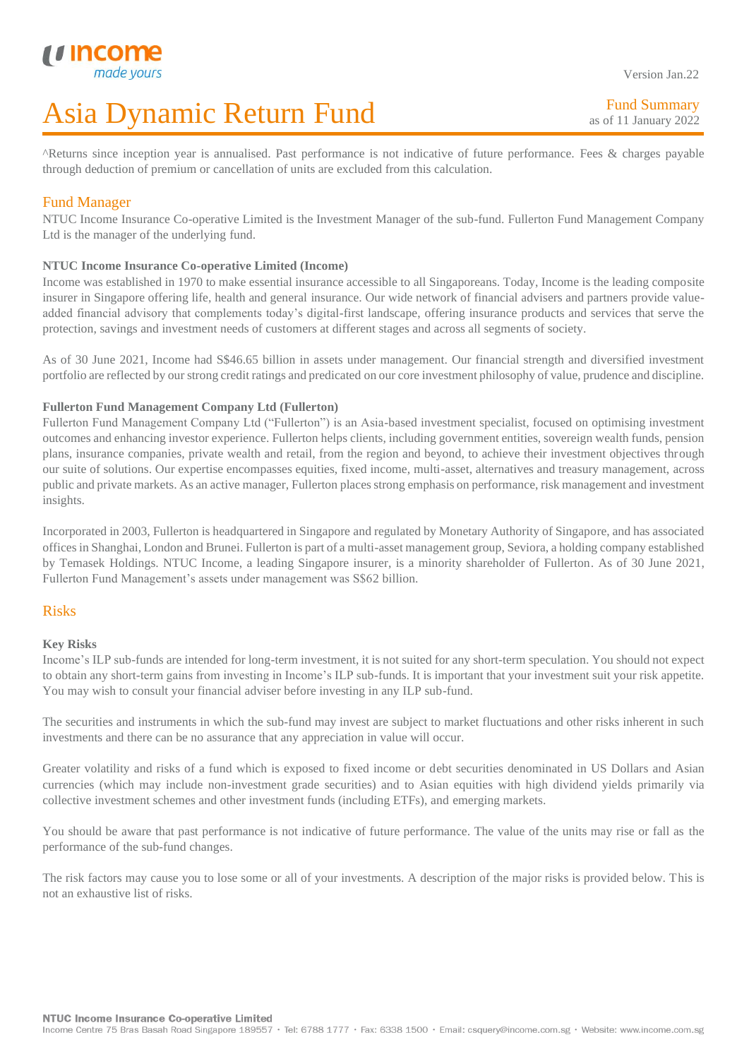Version Jan.22

Fund Summary as of 11 January 2022

^Returns since inception year is annualised. Past performance is not indicative of future performance. Fees & charges payable through deduction of premium or cancellation of units are excluded from this calculation.

### Fund Manager

I

NTUC Income Insurance Co-operative Limited is the Investment Manager of the sub-fund. Fullerton Fund Management Company Ltd is the manager of the underlying fund.

### **NTUC Income Insurance Co-operative Limited (Income)**

Income was established in 1970 to make essential insurance accessible to all Singaporeans. Today, Income is the leading composite insurer in Singapore offering life, health and general insurance. Our wide network of financial advisers and partners provide valueadded financial advisory that complements today's digital-first landscape, offering insurance products and services that serve the protection, savings and investment needs of customers at different stages and across all segments of society.

As of 30 June 2021, Income had S\$46.65 billion in assets under management. Our financial strength and diversified investment portfolio are reflected by our strong credit ratings and predicated on our core investment philosophy of value, prudence and discipline.

### **Fullerton Fund Management Company Ltd (Fullerton)**

Fullerton Fund Management Company Ltd ("Fullerton") is an Asia-based investment specialist, focused on optimising investment outcomes and enhancing investor experience. Fullerton helps clients, including government entities, sovereign wealth funds, pension plans, insurance companies, private wealth and retail, from the region and beyond, to achieve their investment objectives through our suite of solutions. Our expertise encompasses equities, fixed income, multi-asset, alternatives and treasury management, across public and private markets. As an active manager, Fullerton placesstrong emphasis on performance, risk management and investment insights.

Incorporated in 2003, Fullerton is headquartered in Singapore and regulated by Monetary Authority of Singapore, and has associated offices in Shanghai, London and Brunei. Fullerton is part of a multi-asset management group, Seviora, a holding company established by Temasek Holdings. NTUC Income, a leading Singapore insurer, is a minority shareholder of Fullerton. As of 30 June 2021, Fullerton Fund Management's assets under management was S\$62 billion.

### Risks

### **Key Risks**

Income's ILP sub-funds are intended for long-term investment, it is not suited for any short-term speculation. You should not expect to obtain any short-term gains from investing in Income's ILP sub-funds. It is important that your investment suit your risk appetite. You may wish to consult your financial adviser before investing in any ILP sub-fund.

The securities and instruments in which the sub-fund may invest are subject to market fluctuations and other risks inherent in such investments and there can be no assurance that any appreciation in value will occur.

Greater volatility and risks of a fund which is exposed to fixed income or debt securities denominated in US Dollars and Asian currencies (which may include non-investment grade securities) and to Asian equities with high dividend yields primarily via collective investment schemes and other investment funds (including ETFs), and emerging markets.

You should be aware that past performance is not indicative of future performance. The value of the units may rise or fall as the performance of the sub-fund changes.

The risk factors may cause you to lose some or all of your investments. A description of the major risks is provided below. This is not an exhaustive list of risks.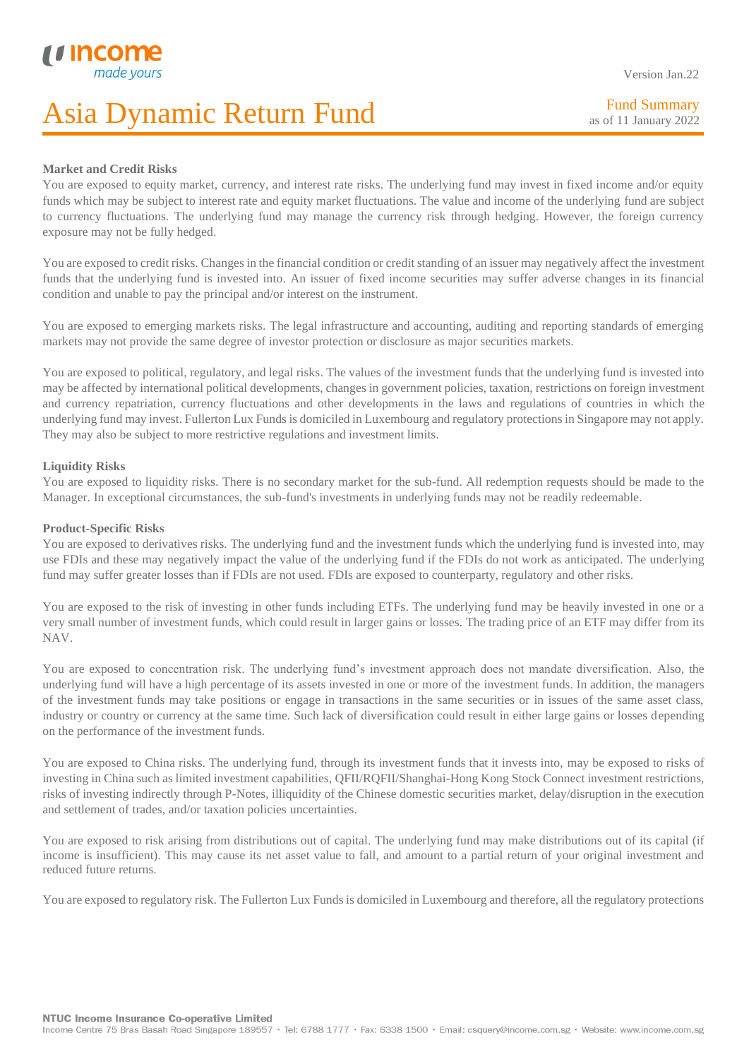### Version Jan.22

Fund Summary as of 11 January 2022

### **Market and Credit Risks**

I

You are exposed to equity market, currency, and interest rate risks. The underlying fund may invest in fixed income and/or equity funds which may be subject to interest rate and equity market fluctuations. The value and income of the underlying fund are subject to currency fluctuations. The underlying fund may manage the currency risk through hedging. However, the foreign currency exposure may not be fully hedged.

You are exposed to credit risks. Changes in the financial condition or credit standing of an issuer may negatively affect the investment funds that the underlying fund is invested into. An issuer of fixed income securities may suffer adverse changes in its financial condition and unable to pay the principal and/or interest on the instrument.

You are exposed to emerging markets risks. The legal infrastructure and accounting, auditing and reporting standards of emerging markets may not provide the same degree of investor protection or disclosure as major securities markets.

You are exposed to political, regulatory, and legal risks. The values of the investment funds that the underlying fund is invested into may be affected by international political developments, changes in government policies, taxation, restrictions on foreign investment and currency repatriation, currency fluctuations and other developments in the laws and regulations of countries in which the underlying fund may invest. Fullerton Lux Funds is domiciled in Luxembourg and regulatory protections in Singapore may not apply. They may also be subject to more restrictive regulations and investment limits.

### **Liquidity Risks**

You are exposed to liquidity risks. There is no secondary market for the sub-fund. All redemption requests should be made to the Manager. In exceptional circumstances, the sub-fund's investments in underlying funds may not be readily redeemable.

### **Product-Specific Risks**

You are exposed to derivatives risks. The underlying fund and the investment funds which the underlying fund is invested into, may use FDIs and these may negatively impact the value of the underlying fund if the FDIs do not work as anticipated. The underlying fund may suffer greater losses than if FDIs are not used. FDIs are exposed to counterparty, regulatory and other risks.

You are exposed to the risk of investing in other funds including ETFs. The underlying fund may be heavily invested in one or a very small number of investment funds, which could result in larger gains or losses. The trading price of an ETF may differ from its NAV.

You are exposed to concentration risk. The underlying fund's investment approach does not mandate diversification. Also, the underlying fund will have a high percentage of its assets invested in one or more of the investment funds. In addition, the managers of the investment funds may take positions or engage in transactions in the same securities or in issues of the same asset class, industry or country or currency at the same time. Such lack of diversification could result in either large gains or losses depending on the performance of the investment funds.

You are exposed to China risks. The underlying fund, through its investment funds that it invests into, may be exposed to risks of investing in China such as limited investment capabilities, QFII/RQFII/Shanghai-Hong Kong Stock Connect investment restrictions, risks of investing indirectly through P-Notes, illiquidity of the Chinese domestic securities market, delay/disruption in the execution and settlement of trades, and/or taxation policies uncertainties.

You are exposed to risk arising from distributions out of capital. The underlying fund may make distributions out of its capital (if income is insufficient). This may cause its net asset value to fall, and amount to a partial return of your original investment and reduced future returns.

You are exposed to regulatory risk. The Fullerton Lux Funds is domiciled in Luxembourg and therefore, all the regulatory protections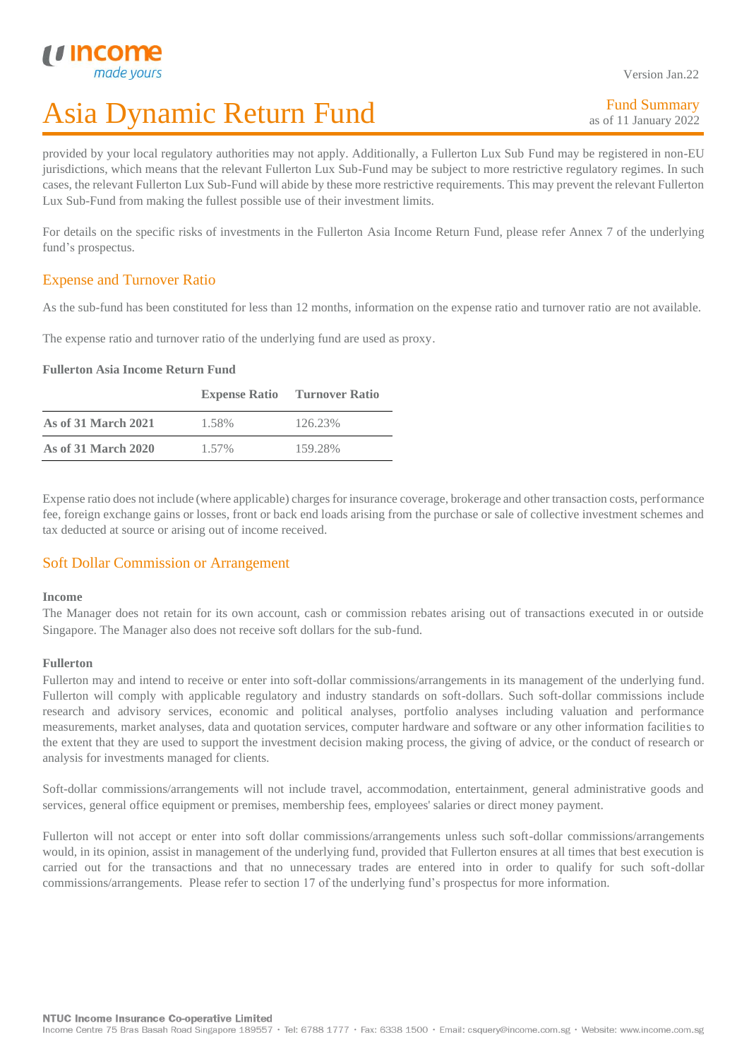I

## Asia Dynamic Return Fund

Fund Summary as of 11 January 2022

provided by your local regulatory authorities may not apply. Additionally, a Fullerton Lux Sub Fund may be registered in non-EU jurisdictions, which means that the relevant Fullerton Lux Sub-Fund may be subject to more restrictive regulatory regimes. In such cases, the relevant Fullerton Lux Sub-Fund will abide by these more restrictive requirements. This may prevent the relevant Fullerton Lux Sub-Fund from making the fullest possible use of their investment limits.

For details on the specific risks of investments in the Fullerton Asia Income Return Fund, please refer Annex 7 of the underlying fund's prospectus.

### Expense and Turnover Ratio

As the sub-fund has been constituted for less than 12 months, information on the expense ratio and turnover ratio are not available.

The expense ratio and turnover ratio of the underlying fund are used as proxy.

### **Fullerton Asia Income Return Fund**

|                            |       | <b>Expense Ratio</b> Turnover Ratio |
|----------------------------|-------|-------------------------------------|
| <b>As of 31 March 2021</b> | 1.58% | 126.23%                             |
| As of 31 March 2020        | 1.57% | 159.28%                             |

Expense ratio does not include (where applicable) charges for insurance coverage, brokerage and other transaction costs, performance fee, foreign exchange gains or losses, front or back end loads arising from the purchase or sale of collective investment schemes and tax deducted at source or arising out of income received.

### Soft Dollar Commission or Arrangement

### **Income**

The Manager does not retain for its own account, cash or commission rebates arising out of transactions executed in or outside Singapore. The Manager also does not receive soft dollars for the sub-fund.

### **Fullerton**

Fullerton may and intend to receive or enter into soft-dollar commissions/arrangements in its management of the underlying fund. Fullerton will comply with applicable regulatory and industry standards on soft-dollars. Such soft-dollar commissions include research and advisory services, economic and political analyses, portfolio analyses including valuation and performance measurements, market analyses, data and quotation services, computer hardware and software or any other information facilities to the extent that they are used to support the investment decision making process, the giving of advice, or the conduct of research or analysis for investments managed for clients.

Soft-dollar commissions/arrangements will not include travel, accommodation, entertainment, general administrative goods and services, general office equipment or premises, membership fees, employees' salaries or direct money payment.

Fullerton will not accept or enter into soft dollar commissions/arrangements unless such soft-dollar commissions/arrangements would, in its opinion, assist in management of the underlying fund, provided that Fullerton ensures at all times that best execution is carried out for the transactions and that no unnecessary trades are entered into in order to qualify for such soft-dollar commissions/arrangements. Please refer to section 17 of the underlying fund's prospectus for more information.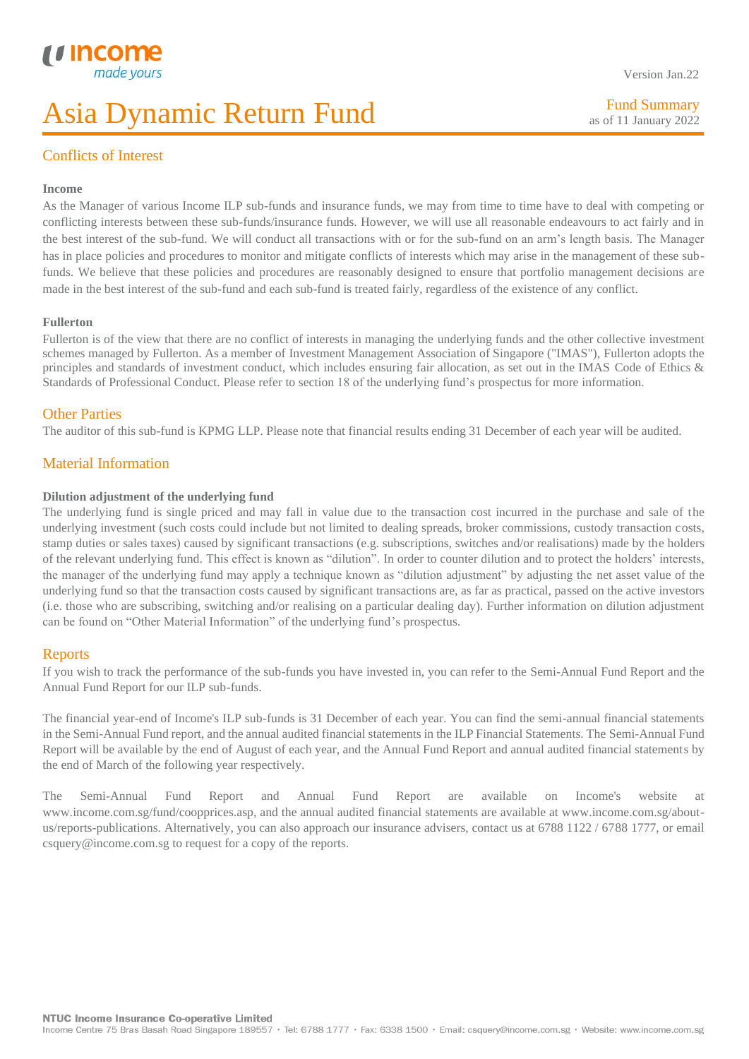### I Conflicts of Interest

### **Income**

As the Manager of various Income ILP sub-funds and insurance funds, we may from time to time have to deal with competing or conflicting interests between these sub-funds/insurance funds. However, we will use all reasonable endeavours to act fairly and in the best interest of the sub-fund. We will conduct all transactions with or for the sub-fund on an arm's length basis. The Manager has in place policies and procedures to monitor and mitigate conflicts of interests which may arise in the management of these subfunds. We believe that these policies and procedures are reasonably designed to ensure that portfolio management decisions are made in the best interest of the sub-fund and each sub-fund is treated fairly, regardless of the existence of any conflict.

### **Fullerton**

Fullerton is of the view that there are no conflict of interests in managing the underlying funds and the other collective investment schemes managed by Fullerton. As a member of Investment Management Association of Singapore ("IMAS"), Fullerton adopts the principles and standards of investment conduct, which includes ensuring fair allocation, as set out in the IMAS Code of Ethics & Standards of Professional Conduct. Please refer to section 18 of the underlying fund's prospectus for more information.

### Other Parties

The auditor of this sub-fund is KPMG LLP. Please note that financial results ending 31 December of each year will be audited.

### Material Information

### **Dilution adjustment of the underlying fund**

The underlying fund is single priced and may fall in value due to the transaction cost incurred in the purchase and sale of the underlying investment (such costs could include but not limited to dealing spreads, broker commissions, custody transaction costs, stamp duties or sales taxes) caused by significant transactions (e.g. subscriptions, switches and/or realisations) made by the holders of the relevant underlying fund. This effect is known as "dilution". In order to counter dilution and to protect the holders' interests, the manager of the underlying fund may apply a technique known as "dilution adjustment" by adjusting the net asset value of the underlying fund so that the transaction costs caused by significant transactions are, as far as practical, passed on the active investors (i.e. those who are subscribing, switching and/or realising on a particular dealing day). Further information on dilution adjustment can be found on "Other Material Information" of the underlying fund's prospectus.

### Reports

If you wish to track the performance of the sub-funds you have invested in, you can refer to the Semi-Annual Fund Report and the Annual Fund Report for our ILP sub-funds.

The financial year-end of Income's ILP sub-funds is 31 December of each year. You can find the semi-annual financial statements in the Semi-Annual Fund report, and the annual audited financial statements in the ILP Financial Statements. The Semi-Annual Fund Report will be available by the end of August of each year, and the Annual Fund Report and annual audited financial statements by the end of March of the following year respectively.

The Semi-Annual Fund Report and Annual Fund Report are available on Income's website at www.income.com.sg/fund/coopprices.asp, and the annual audited financial statements are available at www.income.com.sg/aboutus/reports-publications. Alternatively, you can also approach our insurance advisers, contact us at 6788 1122 / 6788 1777, or email csquery@income.com.sg to request for a copy of the reports.